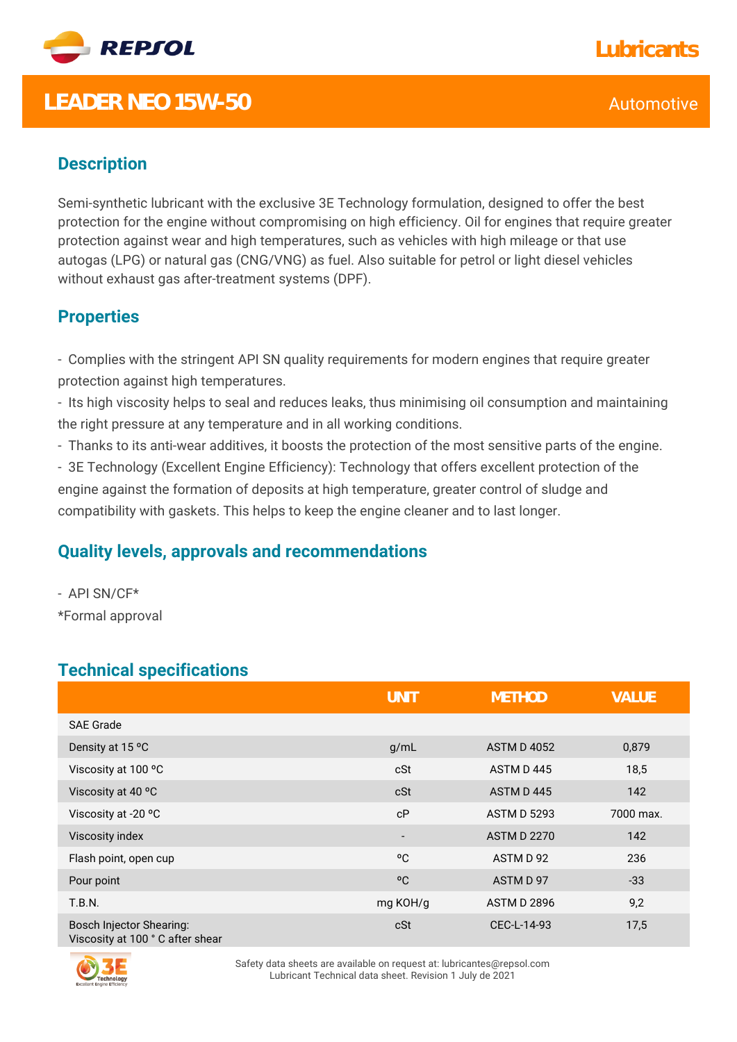

## **LEADER NEO 15W-50** Automotive

### **Description**

Semi-synthetic lubricant with the exclusive 3E Technology formulation, designed to offer the best protection for the engine without compromising on high efficiency. Oil for engines that require greater protection against wear and high temperatures, such as vehicles with high mileage or that use autogas (LPG) or natural gas (CNG/VNG) as fuel. Also suitable for petrol or light diesel vehicles without exhaust gas after-treatment systems (DPF).

#### **Properties**

- Complies with the stringent API SN quality requirements for modern engines that require greater protection against high temperatures.

- Its high viscosity helps to seal and reduces leaks, thus minimising oil consumption and maintaining the right pressure at any temperature and in all working conditions.

- Thanks to its anti-wear additives, it boosts the protection of the most sensitive parts of the engine.

- 3E Technology (Excellent Engine Efficiency): Technology that offers excellent protection of the engine against the formation of deposits at high temperature, greater control of sludge and compatibility with gaskets. This helps to keep the engine cleaner and to last longer.

#### **Quality levels, approvals and recommendations**

- API SN/CF\* \*Formal approval

## **Technical specifications**

|                                                                    | <b>UNIT</b>              | <b>METHOD</b>      | <b>VALUE</b> |
|--------------------------------------------------------------------|--------------------------|--------------------|--------------|
| <b>SAE Grade</b>                                                   |                          |                    |              |
| Density at 15 °C                                                   | g/mL                     | <b>ASTM D 4052</b> | 0,879        |
| Viscosity at 100 °C                                                | cSt                      | ASTM D445          | 18,5         |
| Viscosity at 40 °C                                                 | cSt                      | ASTM D445          | 142          |
| Viscosity at -20 °C                                                | cP                       | <b>ASTM D 5293</b> | 7000 max.    |
| Viscosity index                                                    | $\overline{\phantom{a}}$ | <b>ASTM D 2270</b> | 142          |
| Flash point, open cup                                              | °C                       | ASTM D 92          | 236          |
| Pour point                                                         | °C                       | ASTM D 97          | $-33$        |
| T.B.N.                                                             | mg KOH/g                 | <b>ASTM D 2896</b> | 9,2          |
| <b>Bosch Injector Shearing:</b><br>Viscosity at 100 °C after shear | cSt                      | CEC-L-14-93        | 17,5         |



Safety data sheets are available on request at: lubricantes@repsol.com Lubricant Technical data sheet. Revision 1 July de 2021